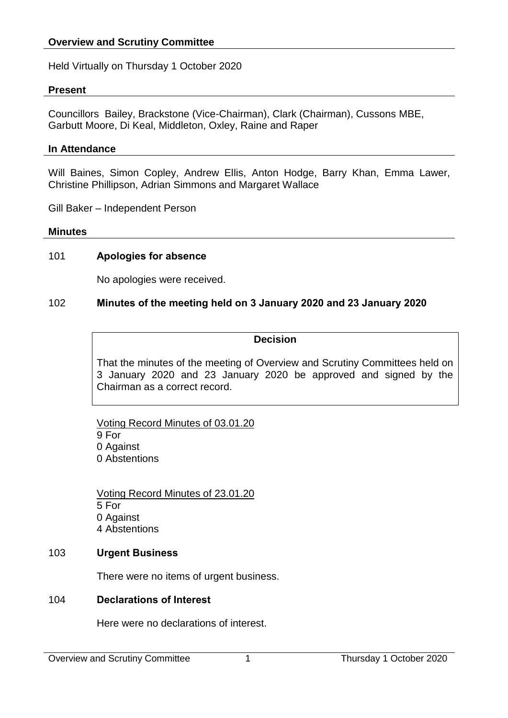Held Virtually on Thursday 1 October 2020

### **Present**

Councillors Bailey, Brackstone (Vice-Chairman), Clark (Chairman), Cussons MBE, Garbutt Moore, Di Keal, Middleton, Oxley, Raine and Raper

#### **In Attendance**

Will Baines, Simon Copley, Andrew Ellis, Anton Hodge, Barry Khan, Emma Lawer, Christine Phillipson, Adrian Simmons and Margaret Wallace

Gill Baker – Independent Person

#### **Minutes**

### 101 **Apologies for absence**

No apologies were received.

### 102 **Minutes of the meeting held on 3 January 2020 and 23 January 2020**

### **Decision**

That the minutes of the meeting of Overview and Scrutiny Committees held on 3 January 2020 and 23 January 2020 be approved and signed by the Chairman as a correct record.

Voting Record Minutes of 03.01.20 9 For 0 Against 0 Abstentions

Voting Record Minutes of 23.01.20 5 For 0 Against 4 Abstentions

### 103 **Urgent Business**

There were no items of urgent business.

### 104 **Declarations of Interest**

Here were no declarations of interest.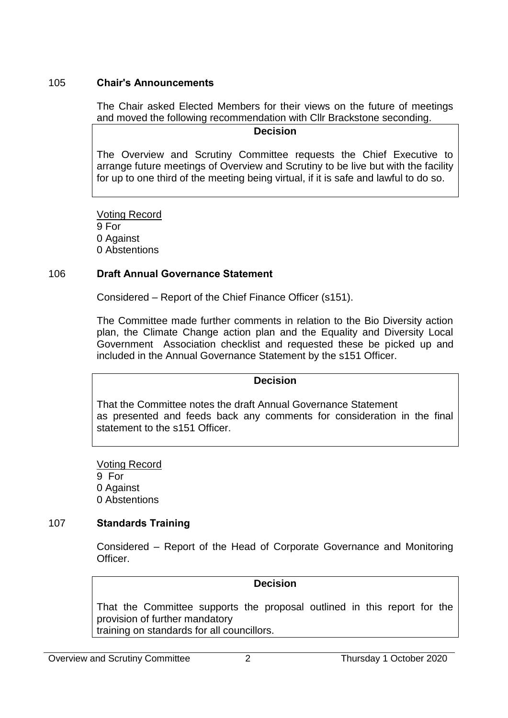### 105 **Chair's Announcements**

The Chair asked Elected Members for their views on the future of meetings and moved the following recommendation with Cllr Brackstone seconding.

### **Decision**

The Overview and Scrutiny Committee requests the Chief Executive to arrange future meetings of Overview and Scrutiny to be live but with the facility for up to one third of the meeting being virtual, if it is safe and lawful to do so.

Voting Record 9 For 0 Against 0 Abstentions

### 106 **Draft Annual Governance Statement**

Considered – Report of the Chief Finance Officer (s151).

The Committee made further comments in relation to the Bio Diversity action plan, the Climate Change action plan and the Equality and Diversity Local Government Association checklist and requested these be picked up and included in the Annual Governance Statement by the s151 Officer.

### **Decision**

That the Committee notes the draft Annual Governance Statement as presented and feeds back any comments for consideration in the final statement to the s151 Officer.

Voting Record 9 For 0 Against 0 Abstentions

# 107 **Standards Training**

Considered – Report of the Head of Corporate Governance and Monitoring Officer.

### **Decision**

That the Committee supports the proposal outlined in this report for the provision of further mandatory training on standards for all councillors.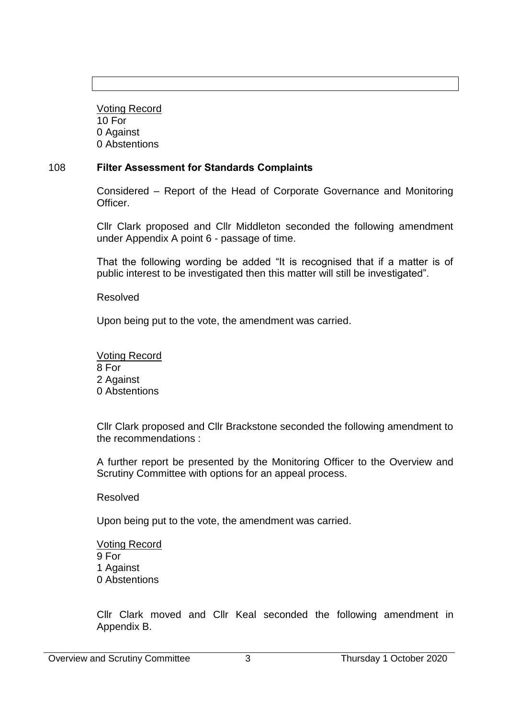Voting Record 10 For 0 Against 0 Abstentions

# 108 **Filter Assessment for Standards Complaints**

Considered – Report of the Head of Corporate Governance and Monitoring Officer.

Cllr Clark proposed and Cllr Middleton seconded the following amendment under Appendix A point 6 - passage of time.

That the following wording be added "It is recognised that if a matter is of public interest to be investigated then this matter will still be investigated".

Resolved

Upon being put to the vote, the amendment was carried.

Voting Record 8 For 2 Against 0 Abstentions

Cllr Clark proposed and Cllr Brackstone seconded the following amendment to the recommendations :

A further report be presented by the Monitoring Officer to the Overview and Scrutiny Committee with options for an appeal process.

Resolved

Upon being put to the vote, the amendment was carried.

Voting Record 9 For 1 Against 0 Abstentions

Cllr Clark moved and Cllr Keal seconded the following amendment in Appendix B.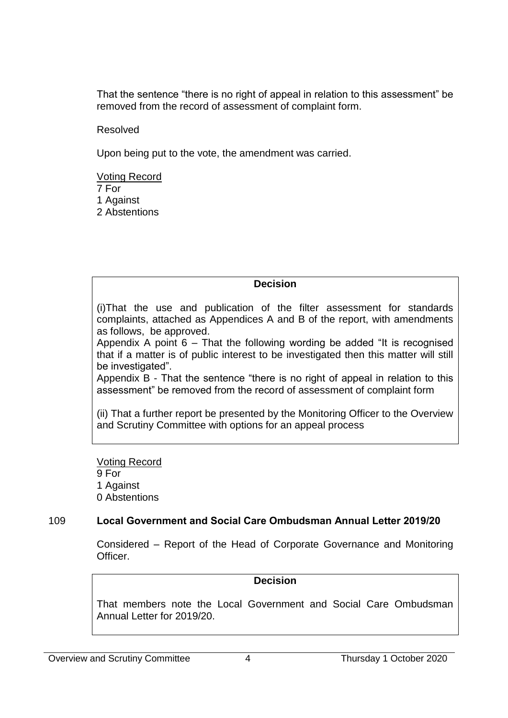That the sentence "there is no right of appeal in relation to this assessment" be removed from the record of assessment of complaint form.

Resolved

Upon being put to the vote, the amendment was carried.

Voting Record 7 For 1 Against 2 Abstentions

### **Decision**

(i)That the use and publication of the filter assessment for standards complaints, attached as Appendices A and B of the report, with amendments as follows, be approved.

Appendix A point  $6 -$  That the following wording be added "It is recognised that if a matter is of public interest to be investigated then this matter will still be investigated".

Appendix B - That the sentence "there is no right of appeal in relation to this assessment" be removed from the record of assessment of complaint form

(ii) That a further report be presented by the Monitoring Officer to the Overview and Scrutiny Committee with options for an appeal process

Voting Record 9 For 1 Against 0 Abstentions

# 109 **Local Government and Social Care Ombudsman Annual Letter 2019/20**

Considered – Report of the Head of Corporate Governance and Monitoring Officer.

### **Decision**

That members note the Local Government and Social Care Ombudsman Annual Letter for 2019/20.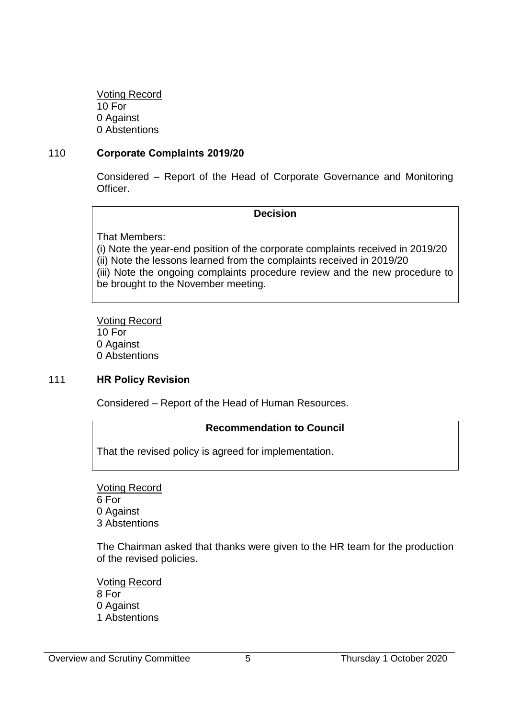Voting Record 10 For 0 Against 0 Abstentions

### 110 **Corporate Complaints 2019/20**

Considered – Report of the Head of Corporate Governance and Monitoring Officer.

### **Decision**

That Members:

(i) Note the year-end position of the corporate complaints received in 2019/20 (ii) Note the lessons learned from the complaints received in 2019/20 (iii) Note the ongoing complaints procedure review and the new procedure to be brought to the November meeting.

Voting Record 10 For 0 Against 0 Abstentions

### 111 **HR Policy Revision**

Considered – Report of the Head of Human Resources.

### **Recommendation to Council**

That the revised policy is agreed for implementation.

Voting Record 6 For 0 Against 3 Abstentions

The Chairman asked that thanks were given to the HR team for the production of the revised policies.

Voting Record 8 For 0 Against 1 Abstentions